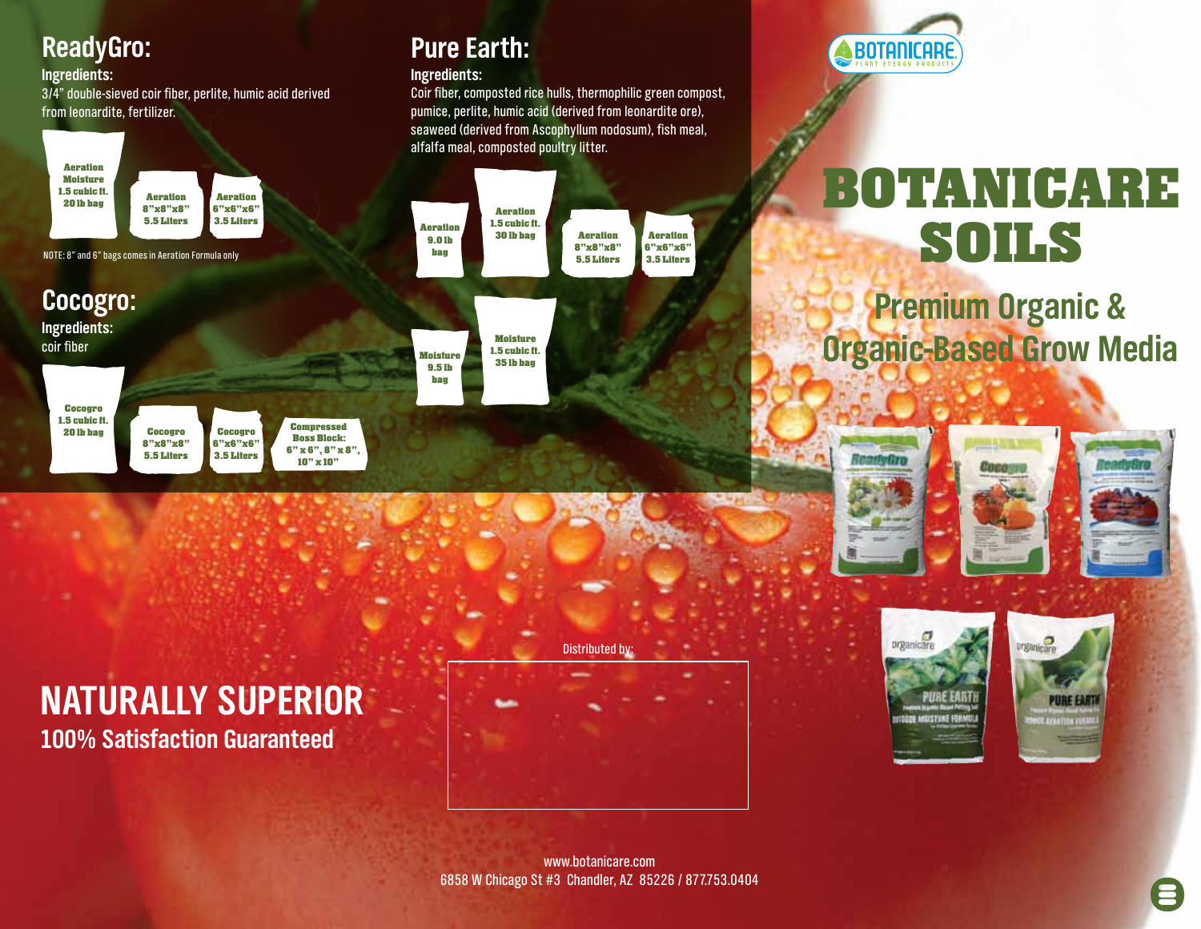#### **Ingredients:**

3/4" double-sieved coir fiber, perlite, humic acid derived from leonardite, fertilizer.

















**Compressed Boss Block: 6" x 6", 8" x 8", 10" x 10"**

### **ReadyGro: Pure Earth:**

#### **Ingredients:**

Coir fiber, composted rice hulls, thermophilic green compost, pumice, perlite, humic acid (derived from leonardite ore), seaweed (derived from Ascophyllum nodosum), fish meal, alfalfa meal, composted poultry litter.



#### **Moisture 1.5 cubic ft. 35 lb bag Moisture 9.5 lb**

**bag**



# **BOTANICARE SOILS**

## **Premium Organic & Organic-Based Grow Media**







### **Naturally Superior 100% Satisfaction Guaranteed**

Distributed by